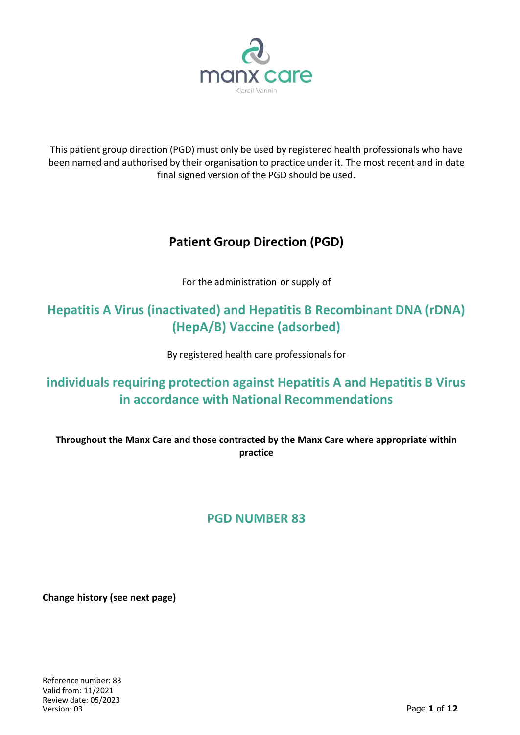

This patient group direction (PGD) must only be used by registered health professionals who have been named and authorised by their organisation to practice under it. The most recent and in date final signed version of the PGD should be used.

# **Patient Group Direction (PGD)**

For the administration or supply of

# **Hepatitis A Virus (inactivated) and Hepatitis B Recombinant DNA (rDNA) (HepA/B) Vaccine (adsorbed)**

By registered health care professionals for

**individuals requiring protection against Hepatitis A and Hepatitis B Virus in accordance with National Recommendations**

**Throughout the Manx Care and those contracted by the Manx Care where appropriate within practice**

## **PGD NUMBER 83**

**Change history (see next page)**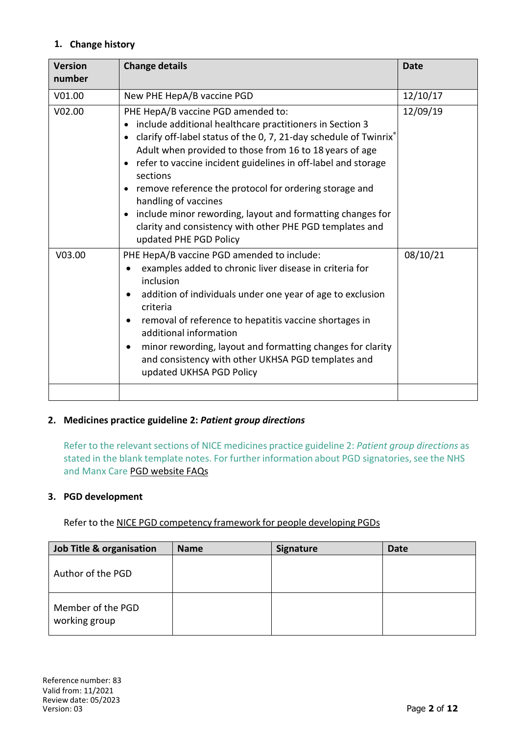### **1. Change history**

| <b>Version</b> | <b>Change details</b>                                                                                                                                                                                                                                                                                                                                                                                                                                                                                                                                                                                              | <b>Date</b> |
|----------------|--------------------------------------------------------------------------------------------------------------------------------------------------------------------------------------------------------------------------------------------------------------------------------------------------------------------------------------------------------------------------------------------------------------------------------------------------------------------------------------------------------------------------------------------------------------------------------------------------------------------|-------------|
| number         |                                                                                                                                                                                                                                                                                                                                                                                                                                                                                                                                                                                                                    |             |
| V01.00         | New PHE HepA/B vaccine PGD                                                                                                                                                                                                                                                                                                                                                                                                                                                                                                                                                                                         | 12/10/17    |
| V02.00         | PHE HepA/B vaccine PGD amended to:<br>include additional healthcare practitioners in Section 3<br>$\bullet$<br>clarify off-label status of the 0, 7, 21-day schedule of Twinrix®<br>$\bullet$<br>Adult when provided to those from 16 to 18 years of age<br>refer to vaccine incident guidelines in off-label and storage<br>$\bullet$<br>sections<br>remove reference the protocol for ordering storage and<br>$\bullet$<br>handling of vaccines<br>include minor rewording, layout and formatting changes for<br>$\bullet$<br>clarity and consistency with other PHE PGD templates and<br>updated PHE PGD Policy | 12/09/19    |
| V03.00         | PHE HepA/B vaccine PGD amended to include:<br>examples added to chronic liver disease in criteria for<br>inclusion<br>addition of individuals under one year of age to exclusion<br>٠<br>criteria<br>removal of reference to hepatitis vaccine shortages in<br>$\bullet$<br>additional information<br>minor rewording, layout and formatting changes for clarity<br>$\bullet$<br>and consistency with other UKHSA PGD templates and<br>updated UKHSA PGD Policy                                                                                                                                                    | 08/10/21    |
|                |                                                                                                                                                                                                                                                                                                                                                                                                                                                                                                                                                                                                                    |             |

### **2. Medicines practice guideline 2:** *Patient group directions*

Refer to the relevant sections of NICE medicines practice guideline 2: *Patient group directions* as stated in the blank template notes. For further information about PGD signatories, see the NHS and Manx Care PGD website FAQs

#### **3. PGD development**

Refer to the NICE PGD competency framework for people developing PGDs

| <b>Job Title &amp; organisation</b> | <b>Name</b> | <b>Signature</b> | <b>Date</b> |
|-------------------------------------|-------------|------------------|-------------|
| Author of the PGD                   |             |                  |             |
| Member of the PGD<br>working group  |             |                  |             |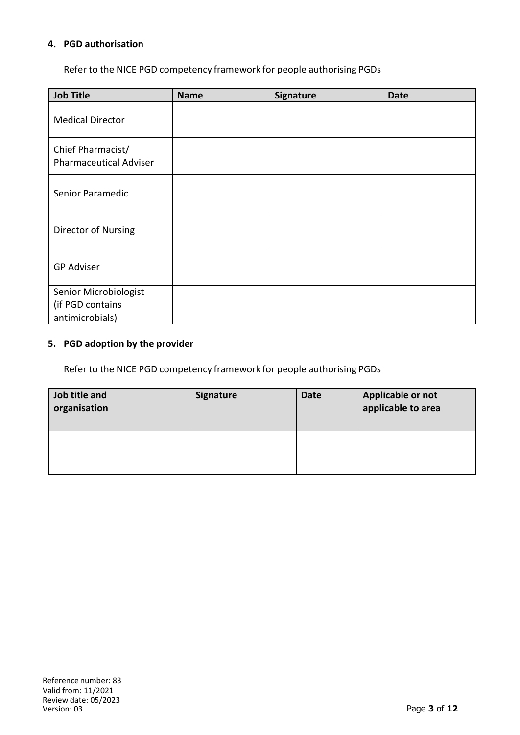### **4. PGD authorisation**

Refer to the NICE PGD competency framework for people authorising PGDs

| <b>Job Title</b>                                   | <b>Name</b> | Signature | <b>Date</b> |
|----------------------------------------------------|-------------|-----------|-------------|
| <b>Medical Director</b>                            |             |           |             |
| Chief Pharmacist/<br><b>Pharmaceutical Adviser</b> |             |           |             |
| Senior Paramedic                                   |             |           |             |
| Director of Nursing                                |             |           |             |
| <b>GP Adviser</b>                                  |             |           |             |
| Senior Microbiologist                              |             |           |             |
| (if PGD contains                                   |             |           |             |
| antimicrobials)                                    |             |           |             |

### **5. PGD adoption by the provider**

Refer to the NICE PGD competency framework for people authorising PGDs

| Job title and<br>organisation | Signature | <b>Date</b> | Applicable or not<br>applicable to area |
|-------------------------------|-----------|-------------|-----------------------------------------|
|                               |           |             |                                         |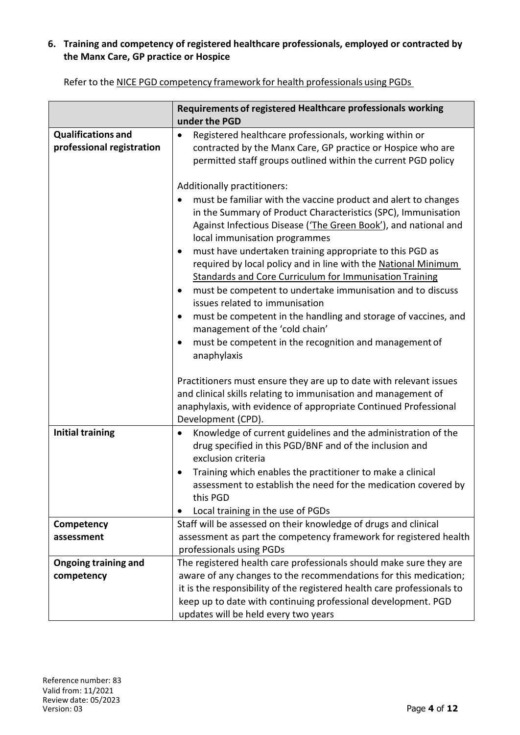### **6. Training and competency of registered healthcare professionals, employed or contracted by the Manx Care, GP practice or Hospice**

|                                                        | Requirements of registered Healthcare professionals working<br>under the PGD                                                                                                                                                                                                                                                                                                                                                                                                                                                                                                                                                                                                                                                                                                        |
|--------------------------------------------------------|-------------------------------------------------------------------------------------------------------------------------------------------------------------------------------------------------------------------------------------------------------------------------------------------------------------------------------------------------------------------------------------------------------------------------------------------------------------------------------------------------------------------------------------------------------------------------------------------------------------------------------------------------------------------------------------------------------------------------------------------------------------------------------------|
| <b>Qualifications and</b><br>professional registration | Registered healthcare professionals, working within or<br>$\bullet$<br>contracted by the Manx Care, GP practice or Hospice who are<br>permitted staff groups outlined within the current PGD policy                                                                                                                                                                                                                                                                                                                                                                                                                                                                                                                                                                                 |
|                                                        | Additionally practitioners:<br>must be familiar with the vaccine product and alert to changes<br>in the Summary of Product Characteristics (SPC), Immunisation<br>Against Infectious Disease ('The Green Book'), and national and<br>local immunisation programmes<br>must have undertaken training appropriate to this PGD as<br>٠<br>required by local policy and in line with the National Minimum<br><b>Standards and Core Curriculum for Immunisation Training</b><br>must be competent to undertake immunisation and to discuss<br>٠<br>issues related to immunisation<br>must be competent in the handling and storage of vaccines, and<br>$\bullet$<br>management of the 'cold chain'<br>must be competent in the recognition and management of<br>$\bullet$<br>anaphylaxis |
|                                                        | Practitioners must ensure they are up to date with relevant issues<br>and clinical skills relating to immunisation and management of<br>anaphylaxis, with evidence of appropriate Continued Professional<br>Development (CPD).                                                                                                                                                                                                                                                                                                                                                                                                                                                                                                                                                      |
| <b>Initial training</b>                                | Knowledge of current guidelines and the administration of the<br>$\bullet$<br>drug specified in this PGD/BNF and of the inclusion and<br>exclusion criteria<br>Training which enables the practitioner to make a clinical<br>$\bullet$<br>assessment to establish the need for the medication covered by<br>this PGD<br>Local training in the use of PGDs                                                                                                                                                                                                                                                                                                                                                                                                                           |
| Competency<br>assessment                               | Staff will be assessed on their knowledge of drugs and clinical<br>assessment as part the competency framework for registered health<br>professionals using PGDs                                                                                                                                                                                                                                                                                                                                                                                                                                                                                                                                                                                                                    |
| <b>Ongoing training and</b><br>competency              | The registered health care professionals should make sure they are<br>aware of any changes to the recommendations for this medication;<br>it is the responsibility of the registered health care professionals to<br>keep up to date with continuing professional development. PGD<br>updates will be held every two years                                                                                                                                                                                                                                                                                                                                                                                                                                                          |

Refer to the NICE PGD competency framework for health professionals using PGDs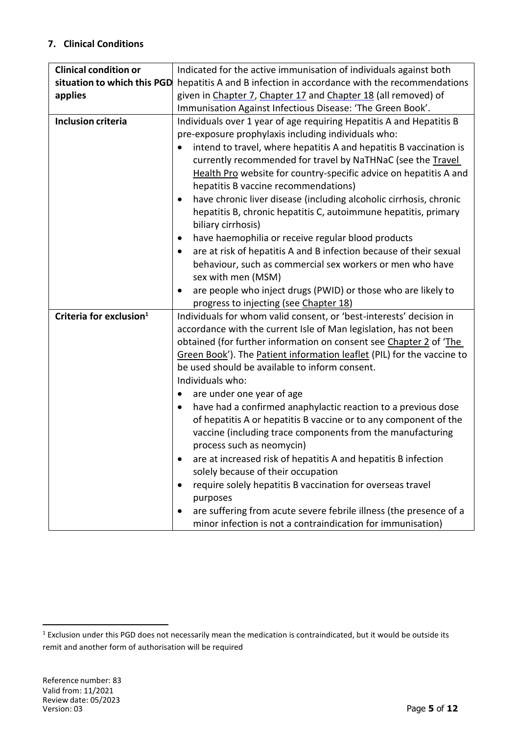### **7. Clinical Conditions**

| <b>Clinical condition or</b>        | Indicated for the active immunisation of individuals against both                                                                       |
|-------------------------------------|-----------------------------------------------------------------------------------------------------------------------------------------|
| situation to which this PGD         | hepatitis A and B infection in accordance with the recommendations                                                                      |
| applies                             | given in Chapter 7, Chapter 17 and Chapter 18 (all removed) of                                                                          |
|                                     | Immunisation Against Infectious Disease: 'The Green Book'.                                                                              |
| <b>Inclusion criteria</b>           | Individuals over 1 year of age requiring Hepatitis A and Hepatitis B                                                                    |
|                                     | pre-exposure prophylaxis including individuals who:                                                                                     |
|                                     | intend to travel, where hepatitis A and hepatitis B vaccination is                                                                      |
|                                     | currently recommended for travel by NaTHNaC (see the Travel                                                                             |
|                                     | Health Pro website for country-specific advice on hepatitis A and                                                                       |
|                                     | hepatitis B vaccine recommendations)                                                                                                    |
|                                     | have chronic liver disease (including alcoholic cirrhosis, chronic<br>٠                                                                 |
|                                     | hepatitis B, chronic hepatitis C, autoimmune hepatitis, primary                                                                         |
|                                     | biliary cirrhosis)                                                                                                                      |
|                                     | have haemophilia or receive regular blood products<br>$\bullet$                                                                         |
|                                     | are at risk of hepatitis A and B infection because of their sexual<br>٠                                                                 |
|                                     | behaviour, such as commercial sex workers or men who have                                                                               |
|                                     | sex with men (MSM)                                                                                                                      |
|                                     | are people who inject drugs (PWID) or those who are likely to                                                                           |
|                                     | progress to injecting (see Chapter 18)                                                                                                  |
| Criteria for exclusion <sup>1</sup> | Individuals for whom valid consent, or 'best-interests' decision in                                                                     |
|                                     | accordance with the current Isle of Man legislation, has not been<br>obtained (for further information on consent see Chapter 2 of 'The |
|                                     | Green Book'). The Patient information leaflet (PIL) for the vaccine to                                                                  |
|                                     | be used should be available to inform consent.                                                                                          |
|                                     | Individuals who:                                                                                                                        |
|                                     | are under one year of age                                                                                                               |
|                                     | have had a confirmed anaphylactic reaction to a previous dose<br>٠                                                                      |
|                                     | of hepatitis A or hepatitis B vaccine or to any component of the                                                                        |
|                                     | vaccine (including trace components from the manufacturing                                                                              |
|                                     | process such as neomycin)                                                                                                               |
|                                     | are at increased risk of hepatitis A and hepatitis B infection                                                                          |
|                                     | solely because of their occupation                                                                                                      |
|                                     | require solely hepatitis B vaccination for overseas travel                                                                              |
|                                     | purposes                                                                                                                                |
|                                     | are suffering from acute severe febrile illness (the presence of a                                                                      |
|                                     | minor infection is not a contraindication for immunisation)                                                                             |

 $\ddot{\phantom{a}}$ 

<sup>&</sup>lt;sup>1</sup> Exclusion under this PGD does not necessarily mean the medication is contraindicated, but it would be outside its remit and another form of authorisation will be required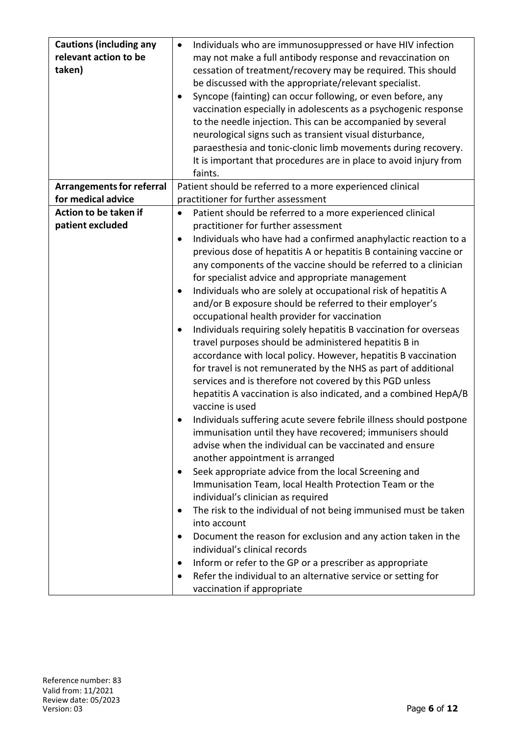| <b>Cautions (including any</b>   | Individuals who are immunosuppressed or have HIV infection                   |
|----------------------------------|------------------------------------------------------------------------------|
| relevant action to be            | may not make a full antibody response and revaccination on                   |
| taken)                           | cessation of treatment/recovery may be required. This should                 |
|                                  | be discussed with the appropriate/relevant specialist.                       |
|                                  | Syncope (fainting) can occur following, or even before, any<br>$\bullet$     |
|                                  | vaccination especially in adolescents as a psychogenic response              |
|                                  | to the needle injection. This can be accompanied by several                  |
|                                  | neurological signs such as transient visual disturbance,                     |
|                                  | paraesthesia and tonic-clonic limb movements during recovery.                |
|                                  | It is important that procedures are in place to avoid injury from            |
|                                  | faints.                                                                      |
| <b>Arrangements for referral</b> | Patient should be referred to a more experienced clinical                    |
| for medical advice               | practitioner for further assessment                                          |
| Action to be taken if            | Patient should be referred to a more experienced clinical<br>٠               |
| patient excluded                 | practitioner for further assessment                                          |
|                                  | Individuals who have had a confirmed anaphylactic reaction to a<br>$\bullet$ |
|                                  | previous dose of hepatitis A or hepatitis B containing vaccine or            |
|                                  | any components of the vaccine should be referred to a clinician              |
|                                  | for specialist advice and appropriate management                             |
|                                  | Individuals who are solely at occupational risk of hepatitis A<br>$\bullet$  |
|                                  | and/or B exposure should be referred to their employer's                     |
|                                  | occupational health provider for vaccination                                 |
|                                  | Individuals requiring solely hepatitis B vaccination for overseas            |
|                                  | travel purposes should be administered hepatitis B in                        |
|                                  | accordance with local policy. However, hepatitis B vaccination               |
|                                  | for travel is not remunerated by the NHS as part of additional               |
|                                  | services and is therefore not covered by this PGD unless                     |
|                                  | hepatitis A vaccination is also indicated, and a combined HepA/B             |
|                                  | vaccine is used                                                              |
|                                  | Individuals suffering acute severe febrile illness should postpone           |
|                                  | immunisation until they have recovered; immunisers should                    |
|                                  | advise when the individual can be vaccinated and ensure                      |
|                                  | another appointment is arranged                                              |
|                                  | Seek appropriate advice from the local Screening and<br>٠                    |
|                                  | Immunisation Team, local Health Protection Team or the                       |
|                                  | individual's clinician as required                                           |
|                                  | The risk to the individual of not being immunised must be taken<br>$\bullet$ |
|                                  | into account                                                                 |
|                                  | Document the reason for exclusion and any action taken in the<br>$\bullet$   |
|                                  | individual's clinical records                                                |
|                                  | Inform or refer to the GP or a prescriber as appropriate<br>$\bullet$        |
|                                  | Refer the individual to an alternative service or setting for<br>$\bullet$   |
|                                  | vaccination if appropriate                                                   |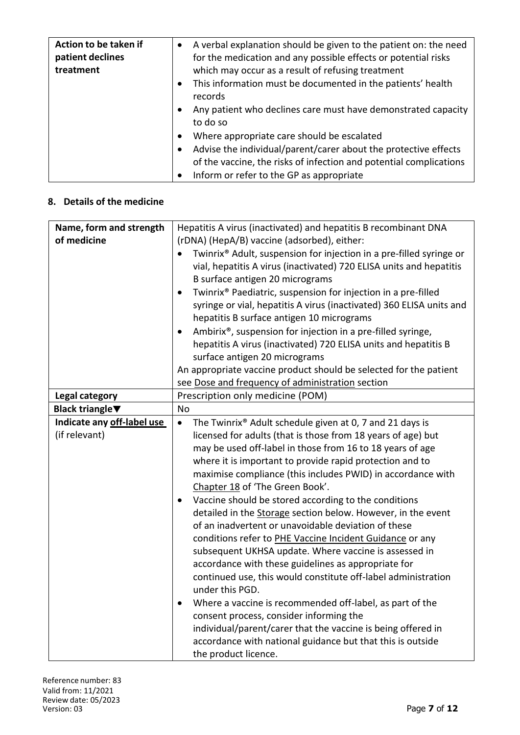| Action to be taken if<br>patient declines<br>treatment |           | A verbal explanation should be given to the patient on: the need<br>for the medication and any possible effects or potential risks<br>which may occur as a result of refusing treatment |
|--------------------------------------------------------|-----------|-----------------------------------------------------------------------------------------------------------------------------------------------------------------------------------------|
|                                                        |           | This information must be documented in the patients' health<br>records                                                                                                                  |
|                                                        |           | Any patient who declines care must have demonstrated capacity<br>to do so                                                                                                               |
|                                                        | $\bullet$ | Where appropriate care should be escalated                                                                                                                                              |
|                                                        |           | Advise the individual/parent/carer about the protective effects                                                                                                                         |
|                                                        |           | of the vaccine, the risks of infection and potential complications                                                                                                                      |
|                                                        |           | Inform or refer to the GP as appropriate                                                                                                                                                |

### **8. Details of the medicine**

| Name, form and strength    | Hepatitis A virus (inactivated) and hepatitis B recombinant DNA                        |
|----------------------------|----------------------------------------------------------------------------------------|
| of medicine                | (rDNA) (HepA/B) vaccine (adsorbed), either:                                            |
|                            | Twinrix <sup>®</sup> Adult, suspension for injection in a pre-filled syringe or        |
|                            | vial, hepatitis A virus (inactivated) 720 ELISA units and hepatitis                    |
|                            | B surface antigen 20 micrograms                                                        |
|                            | Twinrix <sup>®</sup> Paediatric, suspension for injection in a pre-filled<br>$\bullet$ |
|                            | syringe or vial, hepatitis A virus (inactivated) 360 ELISA units and                   |
|                            | hepatitis B surface antigen 10 micrograms                                              |
|                            | Ambirix®, suspension for injection in a pre-filled syringe,                            |
|                            | hepatitis A virus (inactivated) 720 ELISA units and hepatitis B                        |
|                            | surface antigen 20 micrograms                                                          |
|                            | An appropriate vaccine product should be selected for the patient                      |
|                            | see Dose and frequency of administration section                                       |
| Legal category             | Prescription only medicine (POM)                                                       |
| <b>Black triangle</b> ▼    | <b>No</b>                                                                              |
| Indicate any off-label use | The Twinrix® Adult schedule given at 0, 7 and 21 days is<br>$\bullet$                  |
| (if relevant)              | licensed for adults (that is those from 18 years of age) but                           |
|                            | may be used off-label in those from 16 to 18 years of age                              |
|                            | where it is important to provide rapid protection and to                               |
|                            | maximise compliance (this includes PWID) in accordance with                            |
|                            | Chapter 18 of 'The Green Book'.                                                        |
|                            | Vaccine should be stored according to the conditions<br>$\bullet$                      |
|                            | detailed in the Storage section below. However, in the event                           |
|                            | of an inadvertent or unavoidable deviation of these                                    |
|                            | conditions refer to PHE Vaccine Incident Guidance or any                               |
|                            | subsequent UKHSA update. Where vaccine is assessed in                                  |
|                            | accordance with these guidelines as appropriate for                                    |
|                            | continued use, this would constitute off-label administration                          |
|                            | under this PGD.                                                                        |
|                            | Where a vaccine is recommended off-label, as part of the<br>$\bullet$                  |
|                            | consent process, consider informing the                                                |
|                            | individual/parent/carer that the vaccine is being offered in                           |
|                            | accordance with national guidance but that this is outside                             |
|                            | the product licence.                                                                   |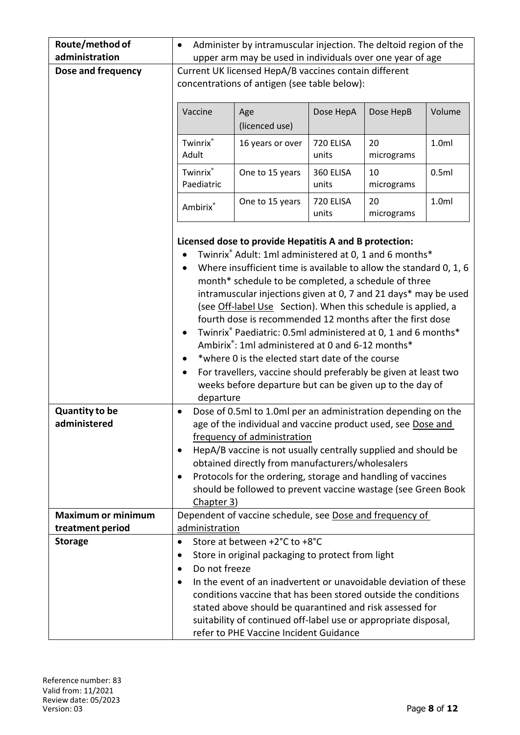| Route/method of                       | Administer by intramuscular injection. The deltoid region of the                                                                                                                                                                                                                                                                                                                                                                                                                                                                                                                                                                                                                                                                                                                                                                                                                                                                                                       |                                                                                                                                                                                                                                                                   |                    |                  |                  |
|---------------------------------------|------------------------------------------------------------------------------------------------------------------------------------------------------------------------------------------------------------------------------------------------------------------------------------------------------------------------------------------------------------------------------------------------------------------------------------------------------------------------------------------------------------------------------------------------------------------------------------------------------------------------------------------------------------------------------------------------------------------------------------------------------------------------------------------------------------------------------------------------------------------------------------------------------------------------------------------------------------------------|-------------------------------------------------------------------------------------------------------------------------------------------------------------------------------------------------------------------------------------------------------------------|--------------------|------------------|------------------|
| administration                        | upper arm may be used in individuals over one year of age                                                                                                                                                                                                                                                                                                                                                                                                                                                                                                                                                                                                                                                                                                                                                                                                                                                                                                              |                                                                                                                                                                                                                                                                   |                    |                  |                  |
| Dose and frequency                    |                                                                                                                                                                                                                                                                                                                                                                                                                                                                                                                                                                                                                                                                                                                                                                                                                                                                                                                                                                        | Current UK licensed HepA/B vaccines contain different                                                                                                                                                                                                             |                    |                  |                  |
|                                       | concentrations of antigen (see table below):                                                                                                                                                                                                                                                                                                                                                                                                                                                                                                                                                                                                                                                                                                                                                                                                                                                                                                                           |                                                                                                                                                                                                                                                                   |                    |                  |                  |
|                                       | Vaccine                                                                                                                                                                                                                                                                                                                                                                                                                                                                                                                                                                                                                                                                                                                                                                                                                                                                                                                                                                | Age<br>(licenced use)                                                                                                                                                                                                                                             | Dose HepA          | Dose HepB        | Volume           |
|                                       | Twinrix®<br>Adult                                                                                                                                                                                                                                                                                                                                                                                                                                                                                                                                                                                                                                                                                                                                                                                                                                                                                                                                                      | 16 years or over                                                                                                                                                                                                                                                  | 720 ELISA<br>units | 20<br>micrograms | 1.0 <sub>m</sub> |
|                                       | <b>Twinrix</b> ®<br>Paediatric                                                                                                                                                                                                                                                                                                                                                                                                                                                                                                                                                                                                                                                                                                                                                                                                                                                                                                                                         | One to 15 years                                                                                                                                                                                                                                                   | 360 ELISA<br>units | 10<br>micrograms | 0.5ml            |
|                                       | Ambirix®                                                                                                                                                                                                                                                                                                                                                                                                                                                                                                                                                                                                                                                                                                                                                                                                                                                                                                                                                               | One to 15 years                                                                                                                                                                                                                                                   | 720 ELISA<br>units | 20<br>micrograms | 1.0 <sub>m</sub> |
|                                       |                                                                                                                                                                                                                                                                                                                                                                                                                                                                                                                                                                                                                                                                                                                                                                                                                                                                                                                                                                        | Licensed dose to provide Hepatitis A and B protection:                                                                                                                                                                                                            |                    |                  |                  |
| <b>Quantity to be</b><br>administered | Twinrix® Adult: 1ml administered at 0, 1 and 6 months*<br>Where insufficient time is available to allow the standard 0, 1, 6<br>month* schedule to be completed, a schedule of three<br>intramuscular injections given at 0, 7 and 21 days* may be used<br>(see Off-label Use Section). When this schedule is applied, a<br>fourth dose is recommended 12 months after the first dose<br>Twinrix® Paediatric: 0.5ml administered at 0, 1 and 6 months*<br>Ambirix <sup>®</sup> : 1ml administered at 0 and 6-12 months*<br>*where 0 is the elected start date of the course<br>For travellers, vaccine should preferably be given at least two<br>weeks before departure but can be given up to the day of<br>departure<br>Dose of 0.5ml to 1.0ml per an administration depending on the<br>$\bullet$<br>age of the individual and vaccine product used, see Dose and<br>frequency of administration<br>HepA/B vaccine is not usually centrally supplied and should be |                                                                                                                                                                                                                                                                   |                    |                  |                  |
|                                       | ٠<br>Chapter 3)                                                                                                                                                                                                                                                                                                                                                                                                                                                                                                                                                                                                                                                                                                                                                                                                                                                                                                                                                        | obtained directly from manufacturers/wholesalers<br>Protocols for the ordering, storage and handling of vaccines<br>should be followed to prevent vaccine wastage (see Green Book                                                                                 |                    |                  |                  |
| <b>Maximum or minimum</b>             |                                                                                                                                                                                                                                                                                                                                                                                                                                                                                                                                                                                                                                                                                                                                                                                                                                                                                                                                                                        | Dependent of vaccine schedule, see Dose and frequency of                                                                                                                                                                                                          |                    |                  |                  |
| treatment period                      | administration                                                                                                                                                                                                                                                                                                                                                                                                                                                                                                                                                                                                                                                                                                                                                                                                                                                                                                                                                         |                                                                                                                                                                                                                                                                   |                    |                  |                  |
| <b>Storage</b>                        | $\bullet$                                                                                                                                                                                                                                                                                                                                                                                                                                                                                                                                                                                                                                                                                                                                                                                                                                                                                                                                                              | Store at between +2°C to +8°C                                                                                                                                                                                                                                     |                    |                  |                  |
|                                       |                                                                                                                                                                                                                                                                                                                                                                                                                                                                                                                                                                                                                                                                                                                                                                                                                                                                                                                                                                        | Store in original packaging to protect from light                                                                                                                                                                                                                 |                    |                  |                  |
|                                       | Do not freeze<br>$\bullet$                                                                                                                                                                                                                                                                                                                                                                                                                                                                                                                                                                                                                                                                                                                                                                                                                                                                                                                                             |                                                                                                                                                                                                                                                                   |                    |                  |                  |
|                                       |                                                                                                                                                                                                                                                                                                                                                                                                                                                                                                                                                                                                                                                                                                                                                                                                                                                                                                                                                                        | In the event of an inadvertent or unavoidable deviation of these<br>conditions vaccine that has been stored outside the conditions<br>stated above should be quarantined and risk assessed for<br>suitability of continued off-label use or appropriate disposal, |                    |                  |                  |
|                                       |                                                                                                                                                                                                                                                                                                                                                                                                                                                                                                                                                                                                                                                                                                                                                                                                                                                                                                                                                                        | refer to PHE Vaccine Incident Guidance                                                                                                                                                                                                                            |                    |                  |                  |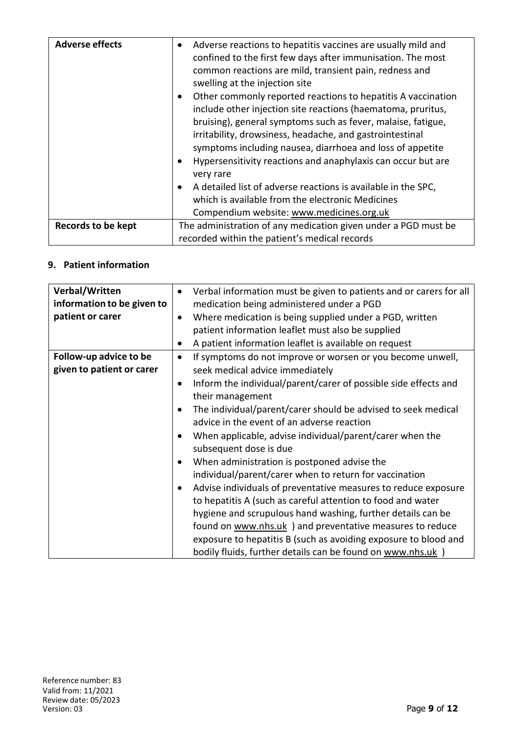| <b>Adverse effects</b>    | Adverse reactions to hepatitis vaccines are usually mild and<br>confined to the first few days after immunisation. The most<br>common reactions are mild, transient pain, redness and<br>swelling at the injection site<br>Other commonly reported reactions to hepatitis A vaccination<br>include other injection site reactions (haematoma, pruritus,<br>bruising), general symptoms such as fever, malaise, fatigue,<br>irritability, drowsiness, headache, and gastrointestinal<br>symptoms including nausea, diarrhoea and loss of appetite<br>Hypersensitivity reactions and anaphylaxis can occur but are<br>very rare<br>A detailed list of adverse reactions is available in the SPC,<br>which is available from the electronic Medicines<br>Compendium website: www.medicines.org.uk |
|---------------------------|------------------------------------------------------------------------------------------------------------------------------------------------------------------------------------------------------------------------------------------------------------------------------------------------------------------------------------------------------------------------------------------------------------------------------------------------------------------------------------------------------------------------------------------------------------------------------------------------------------------------------------------------------------------------------------------------------------------------------------------------------------------------------------------------|
|                           |                                                                                                                                                                                                                                                                                                                                                                                                                                                                                                                                                                                                                                                                                                                                                                                                |
| <b>Records to be kept</b> | The administration of any medication given under a PGD must be                                                                                                                                                                                                                                                                                                                                                                                                                                                                                                                                                                                                                                                                                                                                 |
|                           | recorded within the patient's medical records                                                                                                                                                                                                                                                                                                                                                                                                                                                                                                                                                                                                                                                                                                                                                  |

### **9. Patient information**

| Verbal/Written             | $\bullet$ | Verbal information must be given to patients and or carers for all |
|----------------------------|-----------|--------------------------------------------------------------------|
| information to be given to |           | medication being administered under a PGD                          |
| patient or carer           | $\bullet$ | Where medication is being supplied under a PGD, written            |
|                            |           | patient information leaflet must also be supplied                  |
|                            | ٠         | A patient information leaflet is available on request              |
| Follow-up advice to be     | $\bullet$ | If symptoms do not improve or worsen or you become unwell,         |
| given to patient or carer  |           | seek medical advice immediately                                    |
|                            | $\bullet$ | Inform the individual/parent/carer of possible side effects and    |
|                            |           | their management                                                   |
|                            |           | The individual/parent/carer should be advised to seek medical      |
|                            |           | advice in the event of an adverse reaction                         |
|                            |           | When applicable, advise individual/parent/carer when the           |
|                            |           | subsequent dose is due                                             |
|                            |           | When administration is postponed advise the                        |
|                            |           | individual/parent/carer when to return for vaccination             |
|                            | $\bullet$ | Advise individuals of preventative measures to reduce exposure     |
|                            |           | to hepatitis A (such as careful attention to food and water        |
|                            |           | hygiene and scrupulous hand washing, further details can be        |
|                            |           | found on www.nhs.uk ) and preventative measures to reduce          |
|                            |           | exposure to hepatitis B (such as avoiding exposure to blood and    |
|                            |           | bodily fluids, further details can be found on www.nhs.uk )        |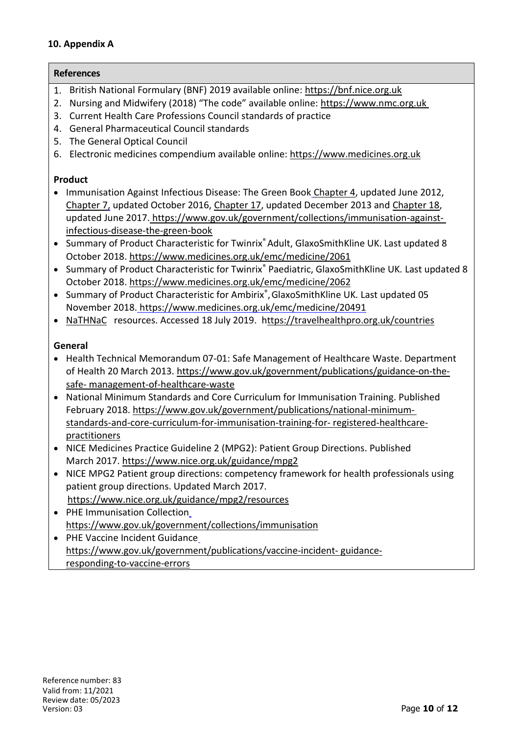### **10. Appendix A**

### **References**

- 1. British National Formulary (BNF) 2019 available online: https://bnf.nice.org.uk
- 2. Nursing and Midwifery (2018) "The code" available online: https://www.nmc.org.uk
- 3. Current Health Care Professions Council standards of practice
- 4. General Pharmaceutical Council standards
- 5. The General Optical Council
- 6. Electronic medicines compendium available online: https://www.medicines.org.uk

### **Product**

- Immunisation Against Infectious Disease: The Green Book Chapter 4, updated June 2012, Chapter 7, updated October 2016, Chapter 17, updated December 2013 and Chapter 18, updated June 2017. [https://www.gov.uk/government/collections/immunisation-against](https://www.gov.uk/government/collections/immunisation-against-infectious-disease-the-green-book)infectious-disease-the-green-book
- Summary of Product Characteristic for Twinrix®Adult, GlaxoSmithKline UK. Last updated 8 October 2018. https://www.medicines.org.uk/emc/medicine/2061
- Summary of Product Characteristic for Twinrix® Paediatric, GlaxoSmithKline UK*.* Last updated 8 October 2018. https://www.medicines.org.uk/emc/medicine/2062
- Summary of Product Characteristic for Ambirix® ,GlaxoSmithKline UK*.* Last updated 05 November 2018. https://www.medicines.org.uk/emc/medicine/20491
- NaTHNaC resources. Accessed 18 July 2019. https://travelhealthpro.org.uk/countries

### **General**

- Health Technical Memorandum 07-01: Safe Management of Healthcare Waste. Department of Health 20 March 2013. [https://www.gov.uk/government/publications/guidance-on-the](https://www.gov.uk/government/publications/guidance-on-the-safe-management-of-healthcare-waste)[safe-](https://www.gov.uk/government/publications/guidance-on-the-safe-management-of-healthcare-waste) management-of-healthcare-waste
- National Minimum Standards and Core Curriculum for Immunisation Training. Published February 2018. [https://www.gov.uk/government/publications/national-minimum](https://www.gov.uk/government/publications/national-minimum-standards-and-core-curriculum-for-immunisation-training-for-registered-healthcare-practitioners)standards-and-core-curriculum-for-immunisation-training-for- [registered-healthcare](https://www.gov.uk/government/publications/national-minimum-standards-and-core-curriculum-for-immunisation-training-for-registered-healthcare-practitioners)[practitioners](https://www.gov.uk/government/publications/national-minimum-standards-and-core-curriculum-for-immunisation-training-for-registered-healthcare-practitioners)
- NICE Medicines Practice Guideline 2 (MPG2): Patient Group Directions. Published March 2017. https://www.nice.org.uk/guidance/mpg2
- NICE MPG2 Patient group directions: competency framework for health professionals using patient group directions. Updated March 2017. https://www.nice.org.uk/guidance/mpg2/resources
- PHE Immunisation Collection https://www.gov.uk/government/collections/immunisation
- PHE Vaccine Incident Guidance [https://www.gov.uk/government/publications/vaccine-incident-](https://www.gov.uk/government/publications/vaccine-incident-guidance-responding-to-vaccine-errors) guidanceresponding-to-vaccine-errors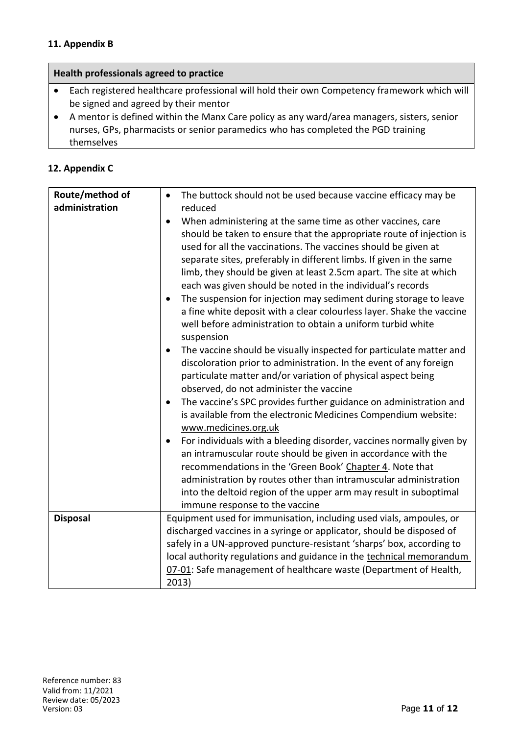### **11. Appendix B**

### **Health professionals agreed to practice**

- Each registered healthcare professional will hold their own Competency framework which will be signed and agreed by their mentor
- A mentor is defined within the Manx Care policy as any ward/area managers, sisters, senior nurses, GPs, pharmacists or senior paramedics who has completed the PGD training themselves

### **12. Appendix C**

| Route/method of | The buttock should not be used because vaccine efficacy may be<br>$\bullet$                                                                                                                                                                                                                                                                                                                                                                                                                                                                                                                                                                                                                                                                                                                                                                                                                                                                                                                                                                                                                                                                                                                                                                                                                                                                                                                                                   |
|-----------------|-------------------------------------------------------------------------------------------------------------------------------------------------------------------------------------------------------------------------------------------------------------------------------------------------------------------------------------------------------------------------------------------------------------------------------------------------------------------------------------------------------------------------------------------------------------------------------------------------------------------------------------------------------------------------------------------------------------------------------------------------------------------------------------------------------------------------------------------------------------------------------------------------------------------------------------------------------------------------------------------------------------------------------------------------------------------------------------------------------------------------------------------------------------------------------------------------------------------------------------------------------------------------------------------------------------------------------------------------------------------------------------------------------------------------------|
| administration  | reduced                                                                                                                                                                                                                                                                                                                                                                                                                                                                                                                                                                                                                                                                                                                                                                                                                                                                                                                                                                                                                                                                                                                                                                                                                                                                                                                                                                                                                       |
|                 | When administering at the same time as other vaccines, care<br>$\bullet$<br>should be taken to ensure that the appropriate route of injection is<br>used for all the vaccinations. The vaccines should be given at<br>separate sites, preferably in different limbs. If given in the same<br>limb, they should be given at least 2.5cm apart. The site at which<br>each was given should be noted in the individual's records<br>The suspension for injection may sediment during storage to leave<br>a fine white deposit with a clear colourless layer. Shake the vaccine<br>well before administration to obtain a uniform turbid white<br>suspension<br>The vaccine should be visually inspected for particulate matter and<br>discoloration prior to administration. In the event of any foreign<br>particulate matter and/or variation of physical aspect being<br>observed, do not administer the vaccine<br>The vaccine's SPC provides further guidance on administration and<br>is available from the electronic Medicines Compendium website:<br>www.medicines.org.uk<br>For individuals with a bleeding disorder, vaccines normally given by<br>an intramuscular route should be given in accordance with the<br>recommendations in the 'Green Book' Chapter 4. Note that<br>administration by routes other than intramuscular administration<br>into the deltoid region of the upper arm may result in suboptimal |
| <b>Disposal</b> | immune response to the vaccine<br>Equipment used for immunisation, including used vials, ampoules, or                                                                                                                                                                                                                                                                                                                                                                                                                                                                                                                                                                                                                                                                                                                                                                                                                                                                                                                                                                                                                                                                                                                                                                                                                                                                                                                         |
|                 | discharged vaccines in a syringe or applicator, should be disposed of                                                                                                                                                                                                                                                                                                                                                                                                                                                                                                                                                                                                                                                                                                                                                                                                                                                                                                                                                                                                                                                                                                                                                                                                                                                                                                                                                         |
|                 | safely in a UN-approved puncture-resistant 'sharps' box, according to                                                                                                                                                                                                                                                                                                                                                                                                                                                                                                                                                                                                                                                                                                                                                                                                                                                                                                                                                                                                                                                                                                                                                                                                                                                                                                                                                         |
|                 | local authority regulations and guidance in the technical memorandum<br>07-01: Safe management of healthcare waste (Department of Health,<br>2013)                                                                                                                                                                                                                                                                                                                                                                                                                                                                                                                                                                                                                                                                                                                                                                                                                                                                                                                                                                                                                                                                                                                                                                                                                                                                            |